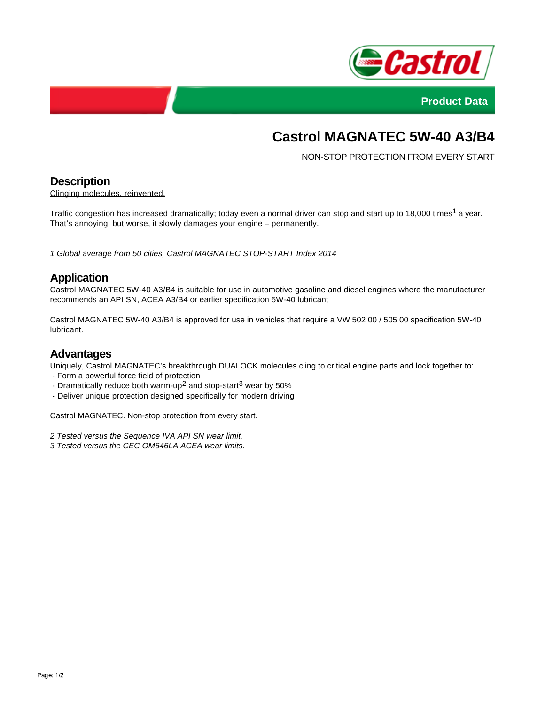



# **Castrol MAGNATEC 5W-40 A3/B4**

NON-STOP PROTECTION FROM EVERY START

# **Description**

Clinging molecules, reinvented.

Traffic congestion has increased dramatically; today even a normal driver can stop and start up to 18,000 times<sup>1</sup> a year. That's annoying, but worse, it slowly damages your engine – permanently.

1 Global average from 50 cities, Castrol MAGNATEC STOP-START Index 2014

### **Application**

Castrol MAGNATEC 5W-40 A3/B4 is suitable for use in automotive gasoline and diesel engines where the manufacturer recommends an API SN, ACEA A3/B4 or earlier specification 5W-40 lubricant

Castrol MAGNATEC 5W-40 A3/B4 is approved for use in vehicles that require a VW 502 00 / 505 00 specification 5W-40 lubricant.

#### **Advantages**

Uniquely, Castrol MAGNATEC's breakthrough DUALOCK molecules cling to critical engine parts and lock together to:

- Form a powerful force field of protection
- Dramatically reduce both warm-up<sup>2</sup> and stop-start<sup>3</sup> wear by 50%
- Deliver unique protection designed specifically for modern driving

Castrol MAGNATEC. Non-stop protection from every start.

2 Tested versus the Sequence IVA API SN wear limit.

3 Tested versus the CEC OM646LA ACEA wear limits.